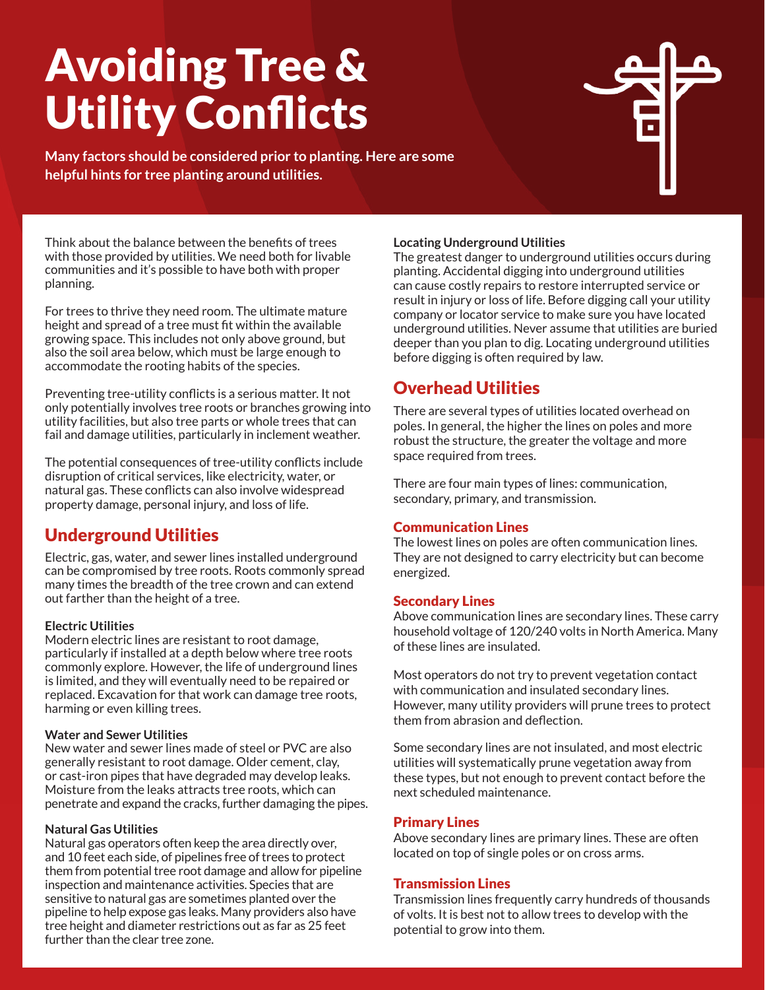# Avoiding Tree & Utility Conflicts

**Many factors should be considered prior to planting. Here are some helpful hints for tree planting around utilities.**

Think about the balance between the benefits of trees with those provided by utilities. We need both for livable communities and it's possible to have both with proper planning.

For trees to thrive they need room. The ultimate mature height and spread of a tree must fit within the available growing space. This includes not only above ground, but also the soil area below, which must be large enough to accommodate the rooting habits of the species.

Preventing tree-utility conflicts is a serious matter. It not only potentially involves tree roots or branches growing into utility facilities, but also tree parts or whole trees that can fail and damage utilities, particularly in inclement weather.

The potential consequences of tree-utility conflicts include disruption of critical services, like electricity, water, or natural gas. These conflicts can also involve widespread property damage, personal injury, and loss of life.

# Underground Utilities

Electric, gas, water, and sewer lines installed underground can be compromised by tree roots. Roots commonly spread many times the breadth of the tree crown and can extend out farther than the height of a tree.

#### **Electric Utilities**

Modern electric lines are resistant to root damage, particularly if installed at a depth below where tree roots commonly explore. However, the life of underground lines is limited, and they will eventually need to be repaired or replaced. Excavation for that work can damage tree roots, harming or even killing trees.

#### **Water and Sewer Utilities**

New water and sewer lines made of steel or PVC are also generally resistant to root damage. Older cement, clay, or cast-iron pipes that have degraded may develop leaks. Moisture from the leaks attracts tree roots, which can penetrate and expand the cracks, further damaging the pipes.

#### **Natural Gas Utilities**

Natural gas operators often keep the area directly over, and 10 feet each side, of pipelines free of trees to protect them from potential tree root damage and allow for pipeline inspection and maintenance activities. Species that are sensitive to natural gas are sometimes planted over the pipeline to help expose gas leaks. Many providers also have tree height and diameter restrictions out as far as 25 feet further than the clear tree zone.

#### **Locating Underground Utilities**

The greatest danger to underground utilities occurs during planting. Accidental digging into underground utilities can cause costly repairs to restore interrupted service or result in injury or loss of life. Before digging call your utility company or locator service to make sure you have located underground utilities. Never assume that utilities are buried deeper than you plan to dig. Locating underground utilities before digging is often required by law.

### Overhead Utilities

There are several types of utilities located overhead on poles. In general, the higher the lines on poles and more robust the structure, the greater the voltage and more space required from trees.

There are four main types of lines: communication, secondary, primary, and transmission.

#### Communication Lines

The lowest lines on poles are often communication lines. They are not designed to carry electricity but can become energized.

#### Secondary Lines

Above communication lines are secondary lines. These carry household voltage of 120/240 volts in North America. Many of these lines are insulated.

Most operators do not try to prevent vegetation contact with communication and insulated secondary lines. However, many utility providers will prune trees to protect them from abrasion and deflection.

Some secondary lines are not insulated, and most electric utilities will systematically prune vegetation away from these types, but not enough to prevent contact before the next scheduled maintenance.

#### Primary Lines

Above secondary lines are primary lines. These are often located on top of single poles or on cross arms.

#### Transmission Lines

Transmission lines frequently carry hundreds of thousands of volts. It is best not to allow trees to develop with the potential to grow into them.